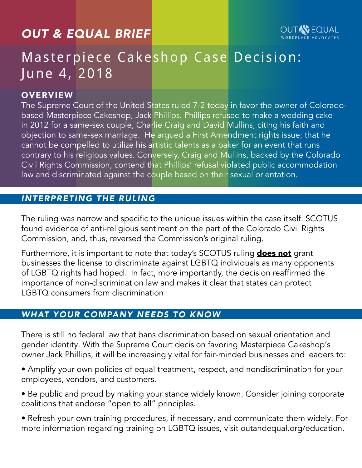# *OUT & EQUAL BRIEF*



# Masterpiece Cakeshop Case Decision: June 4, 2018

#### **OVERVIEW**

The Supreme Court of the United States ruled 7-2 today in favor the owner of Coloradobased Masterpiece Cakeshop, Jack Phillips. Phillips refused to make a wedding cake in 2012 for a same-sex couple, Charlie Craig and David Mullins, citing his faith and objection to same-sex marriage. He argued a First Amendment rights issue; that he cannot be compelled to utilize his artistic talents as a baker for an event that runs contrary to his religious values. Conversely, Craig and Mullins, backed by the Colorado Civil Rights Commission, contend that Phillips' refusal violated public accommodation law and discriminated against the couple based on their sexual orientation.

## *INTERPRETING THE RULING*

The ruling was narrow and specific to the unique issues within the case itself. SCOTUS found evidence of anti-religious sentiment on the part of the Colorado Civil Rights Commission, and, thus, reversed the Commission's original ruling.

Furthermore, it is important to note that today's SCOTUS ruling **does not** grant businesses the license to discriminate against LGBTQ individuals as many opponents of LGBTQ rights had hoped. In fact, more importantly, the decision reaffirmed the importance of non-discrimination law and makes it clear that states can protect LGBTQ consumers from discrimination

#### *WHAT YOUR COMPANY NEEDS TO KNOW*

There is still no federal law that bans discrimination based on sexual orientation and gender identity. With the Supreme Court decision favoring Masterpiece Cakeshop's owner Jack Phillips, it will be increasingly vital for fair-minded businesses and leaders to:

- Amplify your own policies of equal treatment, respect, and nondiscrimination for your employees, vendors, and customers.
- Be public and proud by making your stance widely known. Consider joining corporate coalitions that endorse "open to all" principles.
- Refresh your own training procedures, if necessary, and communicate them widely. For more information regarding training on LGBTQ issues, visit outandequal.org/education.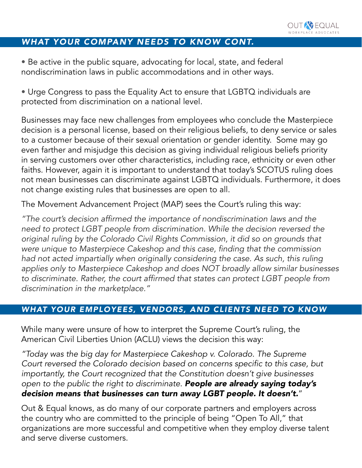

### *WHAT YOUR COMPANY NEEDS TO KNOW CONT.*

• Be active in the public square, advocating for local, state, and federal nondiscrimination laws in public accommodations and in other ways.

• Urge Congress to pass the Equality Act to ensure that LGBTQ individuals are protected from discrimination on a national level.

Businesses may face new challenges from employees who conclude the Masterpiece decision is a personal license, based on their religious beliefs, to deny service or sales to a customer because of their sexual orientation or gender identity. Some may go even farther and misjudge this decision as giving individual religious beliefs priority in serving customers over other characteristics, including race, ethnicity or even other faiths. However, again it is important to understand that today's SCOTUS ruling does not mean businesses can discriminate against LGBTQ individuals. Furthermore, it does not change existing rules that businesses are open to all.

The Movement Advancement Project (MAP) sees the Court's ruling this way:

"The court's decision affirmed the importance of nondiscrimination laws and the need to protect LGBT people from discrimination. While the decision reversed the original ruling by the Colorado Civil Rights Commission, it did so on grounds that were unique to Masterpiece Cakeshop and this case, finding that the commission had not acted impartially when originally considering the case. As such, this ruling applies only to Masterpiece Cakeshop and does NOT broadly allow similar businesses to discriminate. Rather, the court affirmed that states can protect LGBT people from discrimination in the marketplace."

#### *WHAT YOUR EMPLOYEES, VENDORS, AND CLIENTS NEED TO KNOW*

While many were unsure of how to interpret the Supreme Court's ruling, the American Civil Liberties Union (ACLU) views the decision this way:

"Today was the big day for Masterpiece Cakeshop v. Colorado. The Supreme Court reversed the Colorado decision based on concerns specific to this case, but importantly, the Court recognized that the Constitution doesn't give businesses open to the public the right to discriminate. *People are already saying today's decision means that businesses can turn away LGBT people. It doesn't.*"

Out & Equal knows, as do many of our corporate partners and employers across the country who are committed to the principle of being "Open To All," that organizations are more successful and competitive when they employ diverse talent and serve diverse customers.